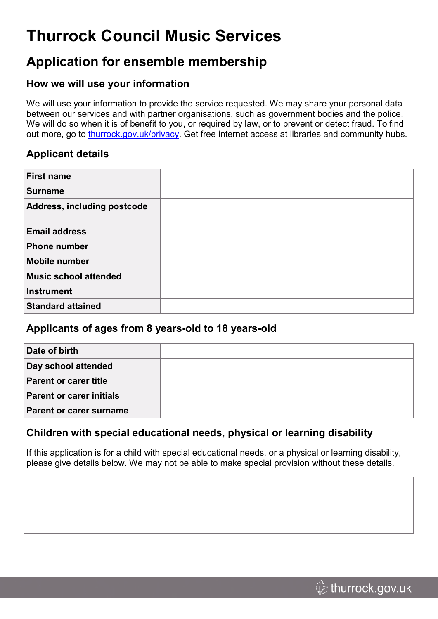# **Thurrock Council Music Services**

## **Application for ensemble membership**

#### **How we will use your information**

We will use your information to provide the service requested. We may share your personal data between our services and with partner organisations, such as government bodies and the police. We will do so when it is of benefit to you, or required by law, or to prevent or detect fraud. To find out more, go to [thurrock.gov.uk/privacy](https://www.thurrock.gov.uk/privacy). Get free internet access at libraries and community hubs.

### **Applicant details**

| <b>First name</b>           |  |
|-----------------------------|--|
| Surname                     |  |
| Address, including postcode |  |
| <b>Email address</b>        |  |
| Phone number                |  |
| Mobile number               |  |
| Music school attended       |  |
| Instrument                  |  |
| <b>Standard attained</b>    |  |

#### **Applicants of ages from 8 years-old to 18 years-old**

| Date of birth                   |  |
|---------------------------------|--|
|                                 |  |
| Day school attended             |  |
| <b>Parent or carer title</b>    |  |
| <b>Parent or carer initials</b> |  |
| <b>Parent or carer surname</b>  |  |

### **Children with special educational needs, physical or learning disability**

If this application is for a child with special educational needs, or a physical or learning disability, please give details below. We may not be able to make special provision without these details.